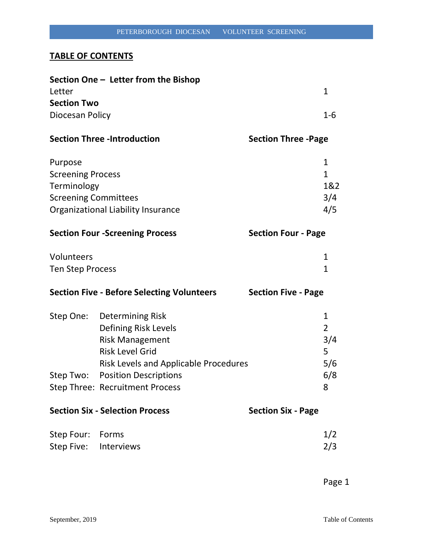## **TABLE OF CONTENTS**

|                                     | Section One – Letter from the Bishop                                                                                                                                                                                      |                            |                                                               |
|-------------------------------------|---------------------------------------------------------------------------------------------------------------------------------------------------------------------------------------------------------------------------|----------------------------|---------------------------------------------------------------|
| Letter                              |                                                                                                                                                                                                                           |                            | 1                                                             |
| <b>Section Two</b>                  |                                                                                                                                                                                                                           |                            |                                                               |
| Diocesan Policy                     |                                                                                                                                                                                                                           |                            | 1-6                                                           |
|                                     | <b>Section Three -Introduction</b>                                                                                                                                                                                        | <b>Section Three -Page</b> |                                                               |
| Purpose                             |                                                                                                                                                                                                                           |                            | 1                                                             |
| <b>Screening Process</b>            |                                                                                                                                                                                                                           |                            | $\mathbf{1}$                                                  |
| Terminology                         |                                                                                                                                                                                                                           |                            | 1&2                                                           |
| <b>Screening Committees</b>         |                                                                                                                                                                                                                           |                            | 3/4                                                           |
| Organizational Liability Insurance  |                                                                                                                                                                                                                           |                            | 4/5                                                           |
|                                     | <b>Section Four -Screening Process</b>                                                                                                                                                                                    | <b>Section Four - Page</b> |                                                               |
| Volunteers                          |                                                                                                                                                                                                                           |                            | 1                                                             |
| Ten Step Process                    |                                                                                                                                                                                                                           |                            | 1                                                             |
|                                     | <b>Section Five - Before Selecting Volunteers</b>                                                                                                                                                                         | <b>Section Five - Page</b> |                                                               |
| Step Two:                           | Step One: Determining Risk<br>Defining Risk Levels<br><b>Risk Management</b><br><b>Risk Level Grid</b><br><b>Risk Levels and Applicable Procedures</b><br><b>Position Descriptions</b><br>Step Three: Recruitment Process |                            | $\mathbf{1}$<br>$\overline{2}$<br>3/4<br>5<br>5/6<br>6/8<br>8 |
|                                     | <b>Section Six - Selection Process</b>                                                                                                                                                                                    | <b>Section Six - Page</b>  |                                                               |
| Step Four:<br>Step Five: Interviews | Forms                                                                                                                                                                                                                     |                            | 1/2<br>2/3                                                    |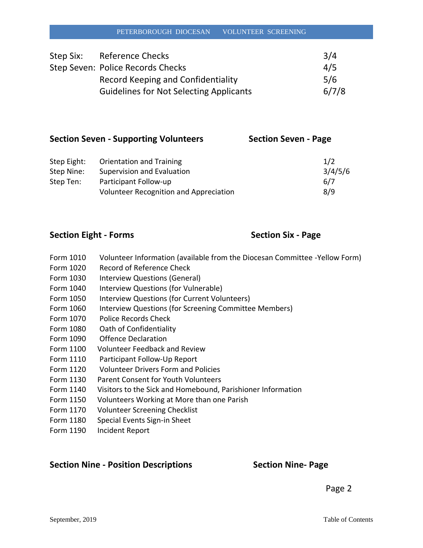| Step Six: | Reference Checks                               | 3/4   |
|-----------|------------------------------------------------|-------|
|           | Step Seven: Police Records Checks              | 4/5   |
|           | Record Keeping and Confidentiality             | 5/6   |
|           | <b>Guidelines for Not Selecting Applicants</b> | 6/7/8 |

| <b>Section Seven - Supporting Volunteers</b> |                          | <b>Section Seven - Page</b> |  |
|----------------------------------------------|--------------------------|-----------------------------|--|
|                                              |                          |                             |  |
| $C+ABC$ $C+A+CD$                             | Oriontation and Training | 11                          |  |

| Step Eight: | Orientation and Training               | 1/2     |
|-------------|----------------------------------------|---------|
| Step Nine:  | Supervision and Evaluation             | 3/4/5/6 |
| Step Ten:   | Participant Follow-up                  | 6/7     |
|             | Volunteer Recognition and Appreciation | 8/9     |

### **Section Eight - Forms Section Six - Page**

- Form 1010 Volunteer Information (available from the Diocesan Committee -Yellow Form)
- Form 1020 Record of Reference Check
- Form 1030 Interview Questions (General)
- Form 1040 Interview Questions (for Vulnerable)
- Form 1050 Interview Questions (for Current Volunteers)
- Form 1060 Interview Questions (for Screening Committee Members)
- Form 1070 Police Records Check
- Form 1080 Oath of Confidentiality
- Form 1090 Offence Declaration
- Form 1100 Volunteer Feedback and Review
- Form 1110 Participant Follow-Up Report
- Form 1120 Volunteer Drivers Form and Policies
- Form 1130 Parent Consent for Youth Volunteers
- Form 1140 Visitors to the Sick and Homebound, Parishioner Information
- Form 1150 Volunteers Working at More than one Parish
- Form 1170 Volunteer Screening Checklist
- Form 1180 Special Events Sign-in Sheet
- Form 1190 Incident Report

### **Section Nine - Position Descriptions Section Nine- Page**

Page 2